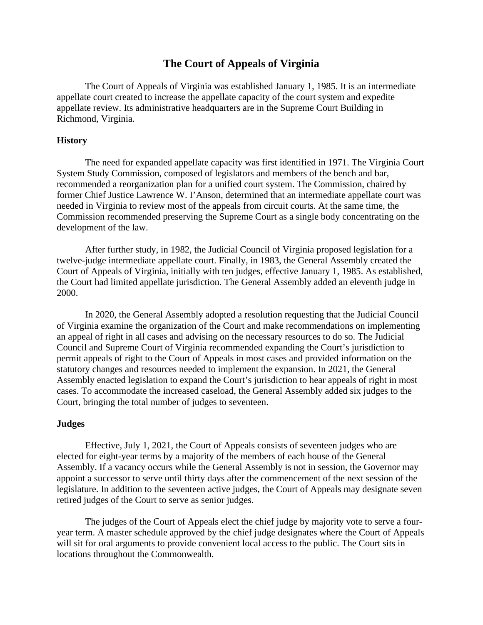# **The Court of Appeals of Virginia**

The Court of Appeals of Virginia was established January 1, 1985. It is an intermediate appellate court created to increase the appellate capacity of the court system and expedite appellate review. Its administrative headquarters are in the Supreme Court Building in Richmond, Virginia.

#### **History**

The need for expanded appellate capacity was first identified in 1971. The Virginia Court System Study Commission, composed of legislators and members of the bench and bar, recommended a reorganization plan for a unified court system. The Commission, chaired by former Chief Justice Lawrence W. I'Anson, determined that an intermediate appellate court was needed in Virginia to review most of the appeals from circuit courts. At the same time, the Commission recommended preserving the Supreme Court as a single body concentrating on the development of the law.

After further study, in 1982, the Judicial Council of Virginia proposed legislation for a twelve-judge intermediate appellate court. Finally, in 1983, the General Assembly created the Court of Appeals of Virginia, initially with ten judges, effective January 1, 1985. As established, the Court had limited appellate jurisdiction. The General Assembly added an eleventh judge in 2000.

In 2020, the General Assembly adopted a resolution requesting that the Judicial Council of Virginia examine the organization of the Court and make recommendations on implementing an appeal of right in all cases and advising on the necessary resources to do so. The Judicial Council and Supreme Court of Virginia recommended expanding the Court's jurisdiction to permit appeals of right to the Court of Appeals in most cases and provided information on the statutory changes and resources needed to implement the expansion. In 2021, the General Assembly enacted legislation to expand the Court's jurisdiction to hear appeals of right in most cases. To accommodate the increased caseload, the General Assembly added six judges to the Court, bringing the total number of judges to seventeen.

#### **Judges**

Effective, July 1, 2021, the Court of Appeals consists of seventeen judges who are elected for eight-year terms by a majority of the members of each house of the General Assembly. If a vacancy occurs while the General Assembly is not in session, the Governor may appoint a successor to serve until thirty days after the commencement of the next session of the legislature. In addition to the seventeen active judges, the Court of Appeals may designate seven retired judges of the Court to serve as senior judges.

The judges of the Court of Appeals elect the chief judge by majority vote to serve a fouryear term. A master schedule approved by the chief judge designates where the Court of Appeals will sit for oral arguments to provide convenient local access to the public. The Court sits in locations throughout the Commonwealth.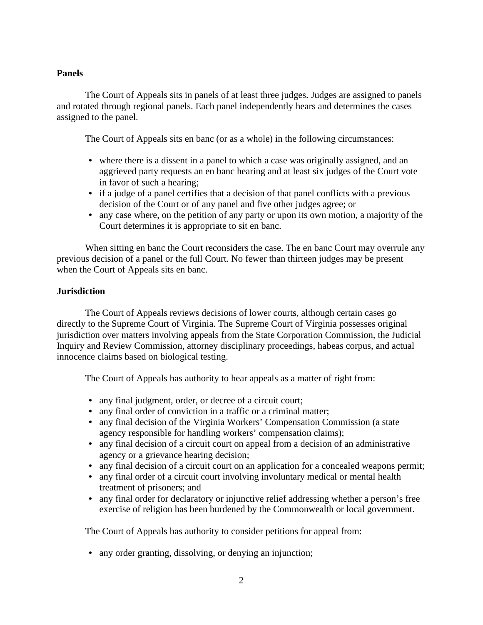## **Panels**

The Court of Appeals sits in panels of at least three judges. Judges are assigned to panels and rotated through regional panels. Each panel independently hears and determines the cases assigned to the panel.

The Court of Appeals sits en banc (or as a whole) in the following circumstances:

- where there is a dissent in a panel to which a case was originally assigned, and an aggrieved party requests an en banc hearing and at least six judges of the Court vote in favor of such a hearing;
- if a judge of a panel certifies that a decision of that panel conflicts with a previous decision of the Court or of any panel and five other judges agree; or
- any case where, on the petition of any party or upon its own motion, a majority of the Court determines it is appropriate to sit en banc.

When sitting en banc the Court reconsiders the case. The en banc Court may overrule any previous decision of a panel or the full Court. No fewer than thirteen judges may be present when the Court of Appeals sits en banc.

## **Jurisdiction**

The Court of Appeals reviews decisions of lower courts, although certain cases go directly to the Supreme Court of Virginia. The Supreme Court of Virginia possesses original jurisdiction over matters involving appeals from the State Corporation Commission, the Judicial Inquiry and Review Commission, attorney disciplinary proceedings, habeas corpus, and actual innocence claims based on biological testing.

The Court of Appeals has authority to hear appeals as a matter of right from:

- any final judgment, order, or decree of a circuit court;
- any final order of conviction in a traffic or a criminal matter;
- any final decision of the Virginia Workers' Compensation Commission (a state agency responsible for handling workers' compensation claims);
- any final decision of a circuit court on appeal from a decision of an administrative agency or a grievance hearing decision;
- any final decision of a circuit court on an application for a concealed weapons permit;
- any final order of a circuit court involving involuntary medical or mental health treatment of prisoners; and
- any final order for declaratory or injunctive relief addressing whether a person's free exercise of religion has been burdened by the Commonwealth or local government.

The Court of Appeals has authority to consider petitions for appeal from:

• any order granting, dissolving, or denying an injunction;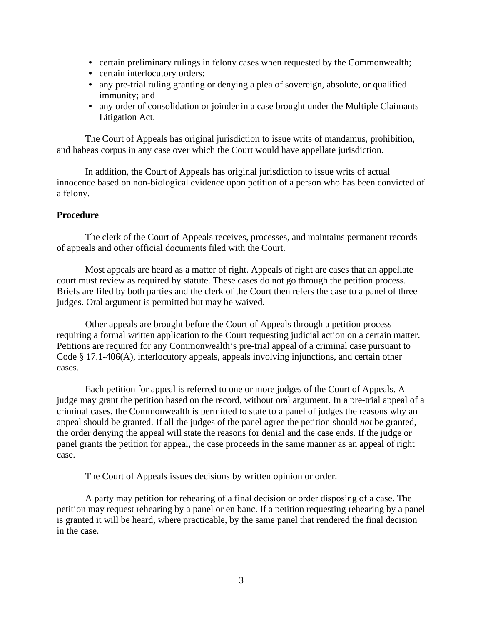- certain preliminary rulings in felony cases when requested by the Commonwealth;
- certain interlocutory orders;
- any pre-trial ruling granting or denying a plea of sovereign, absolute, or qualified immunity; and
- any order of consolidation or joinder in a case brought under the Multiple Claimants Litigation Act.

The Court of Appeals has original jurisdiction to issue writs of mandamus, prohibition, and habeas corpus in any case over which the Court would have appellate jurisdiction.

In addition, the Court of Appeals has original jurisdiction to issue writs of actual innocence based on non-biological evidence upon petition of a person who has been convicted of a felony.

## **Procedure**

The clerk of the Court of Appeals receives, processes, and maintains permanent records of appeals and other official documents filed with the Court.

Most appeals are heard as a matter of right. Appeals of right are cases that an appellate court must review as required by statute. These cases do not go through the petition process. Briefs are filed by both parties and the clerk of the Court then refers the case to a panel of three judges. Oral argument is permitted but may be waived.

Other appeals are brought before the Court of Appeals through a petition process requiring a formal written application to the Court requesting judicial action on a certain matter. Petitions are required for any Commonwealth's pre-trial appeal of a criminal case pursuant to Code § 17.1-406(A), interlocutory appeals, appeals involving injunctions, and certain other cases.

Each petition for appeal is referred to one or more judges of the Court of Appeals. A judge may grant the petition based on the record, without oral argument. In a pre-trial appeal of a criminal cases, the Commonwealth is permitted to state to a panel of judges the reasons why an appeal should be granted. If all the judges of the panel agree the petition should *not* be granted, the order denying the appeal will state the reasons for denial and the case ends. If the judge or panel grants the petition for appeal, the case proceeds in the same manner as an appeal of right case.

The Court of Appeals issues decisions by written opinion or order.

A party may petition for rehearing of a final decision or order disposing of a case. The petition may request rehearing by a panel or en banc. If a petition requesting rehearing by a panel is granted it will be heard, where practicable, by the same panel that rendered the final decision in the case.